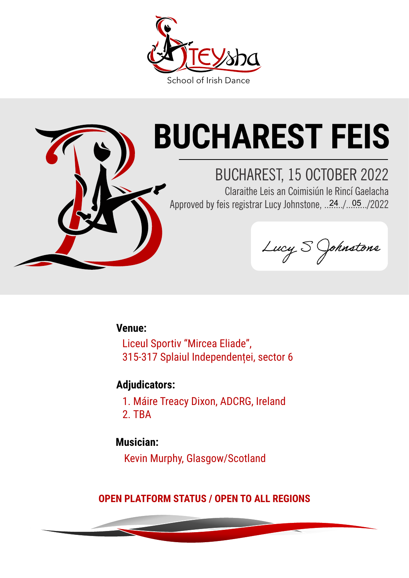



# **BUCHAREST FEIS**

### BUCHAREST, 15 OCTOBER 2022

Claraithe Leis an Coimisiún le Rincí Gaelacha Approved by feis registrar Lucy Johnstone, ..24./..05./2022

Lucy S Johnstone

**Venue:**

Liceul Sportiv "Mircea Eliade", 315-317 Splaiul Independenței, sector 6

#### **Adjudicators:**

1. Máire Treacy Dixon, ADCRG, Ireland 2. TBA

#### **Musician:**

Kevin Murphy, Glasgow/Scotland

**OPEN PLATFORM STATUS / OPEN TO ALL REGIONS**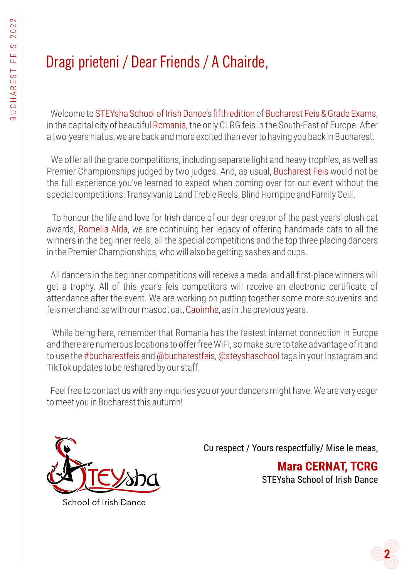### Dragi prieteni / Dear Friends / A Chairde,

Welcome to STEYsha School of Irish Dance's fifth edition of Bucharest Feis & Grade Exams, in the capital city of beautiful Romania, the only CLRG feis in the South-East of Europe. After a two-years hiatus, we are back and more excited than ever to having you back in Bucharest.

We offer all the grade competitions, including separate light and heavy trophies, as well as Premier Championships judged by two judges. And, as usual, Bucharest Feis would not be the full experience you've learned to expect when coming over for our event without the special competitions: Transylvania Land Treble Reels, Blind Hornpipe and Family Ceili.

To honour the life and love for Irish dance of our dear creator of the past years' plush cat awards, Romelia Alda, we are continuing her legacy of offering handmade cats to all the winners in the beginner reels, all the special competitions and the top three placing dancers in the Premier Championships, who will also be getting sashes and cups.

All dancers in the beginner competitions will receive a medal and all first-place winners will get a trophy. All of this year's feis competitors will receive an electronic certificate of attendance after the event. We are working on putting together some more souvenirs and feis merchandise with our mascot cat, Caoimhe, as in the previous years.

While being here, remember that Romania has the fastest internet connection in Europe and there are numerous locations to offer free WiFi, so make sure to take advantage of it and to use the #bucharestfeis and @bucharestfeis, @steyshaschool tags in your Instagram and TikTok updates to be reshared by our staff.

Feel free to contact us with any inquiries you or your dancers might have. We are very eager to meet you in Bucharest this autumn!



School of Irish Dance

Cu respect / Yours respectfully/ Mise le meas,

**Mara CERNAT, TCRG** STEYsha School of Irish Dance

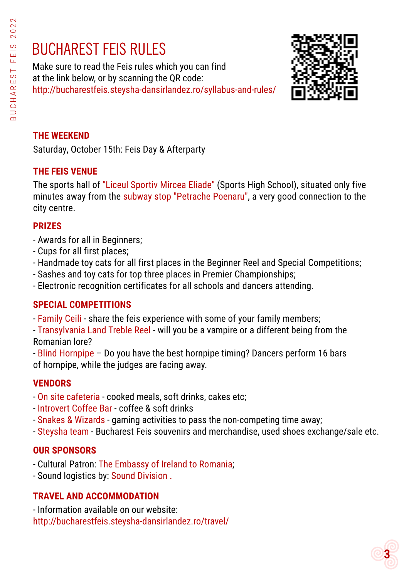### BUCHAREST FEIS RULES

Make sure to read the Feis rules which you can find at the link below, or by scanning the QR code: http://bucharestfeis.steysha-dansirlandez.ro/syllabus-and-rules/



#### **THE WEEKEND**

Saturday, October 15th: Feis Day & Afterparty

#### **THE FEIS VENUE**

The sports hall of "Liceul Sportiv Mircea Eliade" (Sports High School), situated only five minutes away from the subway stop "Petrache Poenaru", a very good connection to the city centre.

#### **PRIZES**

- Awards for all in Beginners;
- Cups for all first places;
- Handmade toy cats for all first places in the Beginner Reel and Special Competitions;
- Sashes and toy cats for top three places in Premier Championships;
- Electronic recognition certificates for all schools and dancers attending.

#### **SPECIAL COMPETITIONS**

- Family Ceili share the feis experience with some of your family members;
- Transylvania Land Treble Reel will you be a vampire or a different being from the Romanian lore?
- Blind Hornpipe Do you have the best hornpipe timing? Dancers perform 16 bars of hornpipe, while the judges are facing away.

#### **VENDORS**

- On site cafeteria cooked meals, soft drinks, cakes etc;
- [Introvert Coffee Bar](https://introvertcoffeebar.ro/) coffee & soft drinks
- - [Snakes & Wizards](https://www.facebook.com/SnakesandWizards/)  gaming activities to pass the non-competing time away;
- Steysha team Bucharest Feis souvenirs and merchandise, used shoes exchange/sale etc.

#### **OUR SPONSORS**

- Cultural Patron: [The Embassy of Ireland to Romania](https://www.dfa.ie/irish-embassy/romania/);
- Sound logistics by: [Sound Division](https://www.sounddivision.ro/) .

#### **TRAVEL AND ACCOMMODATION**

- Information available on our website: http://bucharestfeis.steysha-dansirlandez.ro/travel/

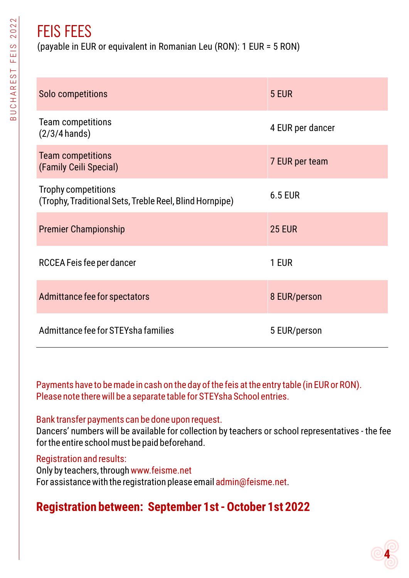### FEIS FEES

(payable in EUR or equivalent in Romanian Leu (RON): 1 EUR = 5 RON)

| Solo competitions                                                              | 5 EUR            |
|--------------------------------------------------------------------------------|------------------|
| <b>Team competitions</b><br>$(2/3/4$ hands)                                    | 4 EUR per dancer |
| <b>Team competitions</b><br>(Family Ceili Special)                             | 7 EUR per team   |
| Trophy competitions<br>(Trophy, Traditional Sets, Treble Reel, Blind Hornpipe) | <b>6.5 EUR</b>   |
| <b>Premier Championship</b>                                                    | <b>25 EUR</b>    |
| RCCEA Feis fee per dancer                                                      | 1 EUR            |
| Admittance fee for spectators                                                  | 8 EUR/person     |
| Admittance fee for STEYsha families                                            | 5 EUR/person     |

Payments have to be made in cash on the day of the feis at the entry table (in EUR or RON). Please note there will be a separate table for STEYsha School entries.

#### Bank transfer payments can be done upon request.

Dancers' numbers will be available for collection by teachers or school representatives - the fee for the entire school must be paid beforehand.

#### Registration and results:

Only by teachers, through www.feisme.net For assistance with the registration please email admin@feisme.net.

### **Registration between: September 1st - October 1st 2022**

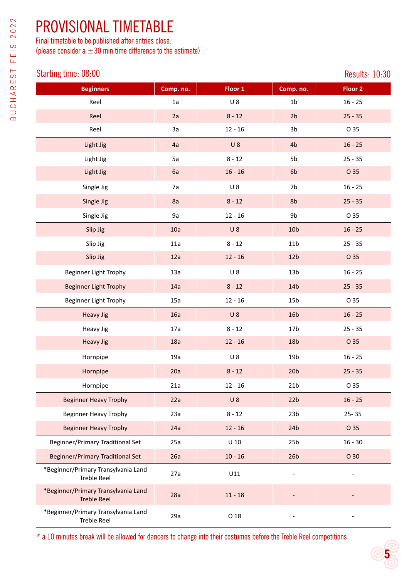### PROVISIONAL TIMETABLE

Final timetable to be published after entries close. (please consider a  $\pm 30$  min time difference to the estimate)

#### Starting time: 08:00

|                                                           |           |           |                 | nopulto, Ibiot |
|-----------------------------------------------------------|-----------|-----------|-----------------|----------------|
| <b>Beginners</b>                                          | Comp. no. | Floor 1   | Comp. no.       | <b>Floor 2</b> |
| Reel                                                      | 1a        | $U_8$     | 1 <sub>b</sub>  | $16 - 25$      |
| Reel                                                      | 2a        | $8 - 12$  | 2 <sub>b</sub>  | $25 - 35$      |
| Reel                                                      | 3a        | $12 - 16$ | 3b              | O 35           |
| Light Jig                                                 | 4a        | $U_8$     | 4 <sub>b</sub>  | $16 - 25$      |
| Light Jig                                                 | 5a        | $8 - 12$  | 5b              | $25 - 35$      |
| Light Jig                                                 | 6a        | $16 - 16$ | 6b              | O 35           |
| Single Jig                                                | 7a        | $U_8$     | 7b              | $16 - 25$      |
| Single Jig                                                | 8a        | $8 - 12$  | 8b              | $25 - 35$      |
| Single Jig                                                | 9a        | $12 - 16$ | 9b              | O 35           |
| Slip Jig                                                  | 10a       | $U_8$     | 10 <sub>b</sub> | $16 - 25$      |
| Slip Jig                                                  | 11a       | $8 - 12$  | 11 <sub>b</sub> | $25 - 35$      |
| Slip Jig                                                  | 12a       | $12 - 16$ | 12 <sub>b</sub> | O 35           |
| <b>Beginner Light Trophy</b>                              | 13a       | $U_8$     | 13 <sub>b</sub> | $16 - 25$      |
| <b>Beginner Light Trophy</b>                              | 14a       | $8 - 12$  | 14b             | $25 - 35$      |
| Beginner Light Trophy                                     | 15a       | $12 - 16$ | 15 <sub>b</sub> | O 35           |
| <b>Heavy Jig</b>                                          | 16a       | $U_8$     | 16 <sub>b</sub> | $16 - 25$      |
| Heavy Jig                                                 | 17a       | $8 - 12$  | 17 <sub>b</sub> | $25 - 35$      |
| <b>Heavy Jig</b>                                          | 18a       | $12 - 16$ | 18 <sub>b</sub> | O 35           |
| Hornpipe                                                  | 19a       | $U_8$     | 19 <sub>b</sub> | $16 - 25$      |
| Hornpipe                                                  | 20a       | $8 - 12$  | 20 <sub>b</sub> | $25 - 35$      |
| Hornpipe                                                  | 21a       | $12 - 16$ | 21 <sub>b</sub> | O 35           |
| <b>Beginner Heavy Trophy</b>                              | 22a       | $U_8$     | 22 <sub>b</sub> | $16 - 25$      |
| <b>Beginner Heavy Trophy</b>                              | 23a       | $8 - 12$  | 23 <sub>b</sub> | $25 - 35$      |
| <b>Beginner Heavy Trophy</b>                              | 24a       | $12 - 16$ | 24 <sub>b</sub> | O 35           |
| Beginner/Primary Traditional Set                          | 25a       | $U$ 10    | 25 <sub>b</sub> | $16 - 30$      |
| <b>Beginner/Primary Traditional Set</b>                   | 26a       | $10 - 16$ | 26 <sub>b</sub> | O 30           |
| *Beginner/Primary Transylvania Land<br><b>Treble Reel</b> | 27a       | U11       |                 |                |
| *Beginner/Primary Transylvania Land<br><b>Treble Reel</b> | 28a       | $11 - 18$ |                 |                |
| *Beginner/Primary Transylvania Land<br><b>Treble Reel</b> | 29a       | O 18      |                 |                |

\* a 10 minutes break will be allowed for dancers to change into their costumes before the Treble Reel competitions

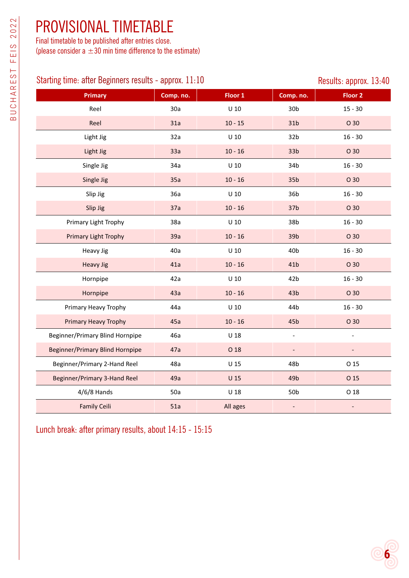### PROVISIONAL TIMETABLE

Final timetable to be published after entries close. (please consider a  $\pm 30$  min time difference to the estimate)

#### Starting time: after Beginners results - approx. 11:10 Results: approx. 13:40

| <b>Primary</b>                         | Comp. no. | Floor 1         | Comp. no.                | Floor <sub>2</sub> |
|----------------------------------------|-----------|-----------------|--------------------------|--------------------|
| Reel                                   | 30a       | $U$ 10          | 30 <sub>b</sub>          | $15 - 30$          |
| Reel                                   | 31a       | $10 - 15$       | 31 <sub>b</sub>          | O 30               |
| Light Jig                              | 32a       | $U$ 10          | 32 <sub>b</sub>          | $16 - 30$          |
| Light Jig                              | 33a       | $10 - 16$       | 33 <sub>b</sub>          | O 30               |
| Single Jig                             | 34a       | $U$ 10          | 34b                      | $16 - 30$          |
| Single Jig                             | 35a       | $10 - 16$       | 35 <sub>b</sub>          | O 30               |
| Slip Jig                               | 36a       | $U$ 10          | 36b                      | $16 - 30$          |
| Slip Jig                               | 37a       | $10 - 16$       | 37 <sub>b</sub>          | O 30               |
| Primary Light Trophy                   | 38a       | $U$ 10          | 38 <sub>b</sub>          | $16 - 30$          |
| <b>Primary Light Trophy</b>            | 39a       | $10 - 16$       | 39 <sub>b</sub>          | O 30               |
| <b>Heavy Jig</b>                       | 40a       | $U$ 10          | 40 <sub>b</sub>          | $16 - 30$          |
| <b>Heavy Jig</b>                       | 41a       | $10 - 16$       | 41 <sub>b</sub>          | O 30               |
| Hornpipe                               | 42a       | $U$ 10          | 42 <sub>b</sub>          | $16 - 30$          |
| Hornpipe                               | 43a       | $10 - 16$       | 43 <sub>b</sub>          | O 30               |
| Primary Heavy Trophy                   | 44a       | $U$ 10          | 44b                      | $16 - 30$          |
| <b>Primary Heavy Trophy</b>            | 45a       | $10 - 16$       | 45 <sub>b</sub>          | O 30               |
| Beginner/Primary Blind Hornpipe        | 46a       | $U$ 18          | $\overline{\phantom{a}}$ | $\overline{a}$     |
| <b>Beginner/Primary Blind Hornpipe</b> | 47a       | O 18            | $\overline{\phantom{a}}$ |                    |
| Beginner/Primary 2-Hand Reel           | 48a       | U <sub>15</sub> | 48b                      | O 15               |
| Beginner/Primary 3-Hand Reel           | 49a       | $U$ 15          | 49 <sub>b</sub>          | O 15               |
| $4/6/8$ Hands                          | 50a       | $U$ 18          | 50 <sub>b</sub>          | O 18               |
| <b>Family Ceili</b>                    | 51a       | All ages        | $\overline{a}$           |                    |

Lunch break: after primary results, about 14:15 - 15:15

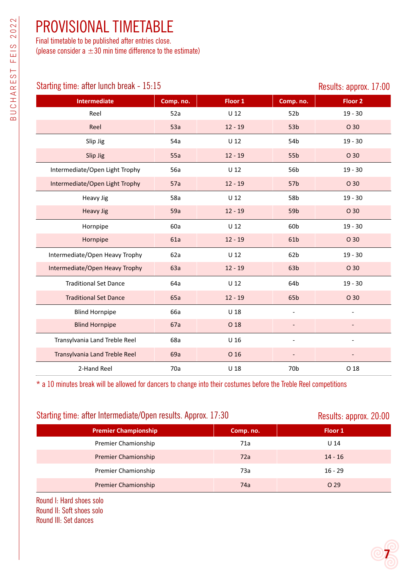### PROVISIONAL TIMETABLE

Final timetable to be published after entries close. (please consider a  $\pm 30$  min time difference to the estimate)

#### Starting time: after lunch break - 15:15 Starting time: approx. 17:00

| <b>Intermediate</b>            | Comp. no. | Floor 1         | Comp. no.       | Floor <sub>2</sub> |
|--------------------------------|-----------|-----------------|-----------------|--------------------|
| Reel                           | 52a       | $U$ 12          | 52b             | $19 - 30$          |
| Reel                           | 53a       | $12 - 19$       | 53 <sub>b</sub> | O 30               |
| Slip Jig                       | 54a       | $U$ 12          | 54b             | $19 - 30$          |
| Slip Jig                       | 55a       | $12 - 19$       | 55b             | O 30               |
| Intermediate/Open Light Trophy | 56a       | $U$ 12          | 56b             | $19 - 30$          |
| Intermediate/Open Light Trophy | 57a       | $12 - 19$       | 57b             | O 30               |
| <b>Heavy Jig</b>               | 58a       | $U$ 12          | 58b             | $19 - 30$          |
| <b>Heavy Jig</b>               | 59a       | $12 - 19$       | 59b             | O 30               |
| Hornpipe                       | 60a       | $U$ 12          | 60b             | $19 - 30$          |
| Hornpipe                       | 61a       | $12 - 19$       | 61b             | O 30               |
| Intermediate/Open Heavy Trophy | 62a       | $U$ 12          | 62 <sub>b</sub> | $19 - 30$          |
| Intermediate/Open Heavy Trophy | 63a       | $12 - 19$       | 63 <sub>b</sub> | O 30               |
| <b>Traditional Set Dance</b>   | 64a       | $U$ 12          | 64b             | $19 - 30$          |
| <b>Traditional Set Dance</b>   | 65a       | $12 - 19$       | 65b             | O 30               |
| <b>Blind Hornpipe</b>          | 66a       | U <sub>18</sub> |                 | $\overline{a}$     |
| <b>Blind Hornpipe</b>          | 67a       | O 18            |                 |                    |
| Transylvania Land Treble Reel  | 68a       | U <sub>16</sub> |                 |                    |
| Transylvania Land Treble Reel  | 69a       | O 16            |                 |                    |
| 2-Hand Reel                    | 70a       | U <sub>18</sub> | 70 <sub>b</sub> | O 18               |

\* a 10 minutes break will be allowed for dancers to change into their costumes before the Treble Reel competitions

#### Starting time: after Intermediate/Open results. Approx. 17:30 Results: approx. 20:00

| <b>Premier Championship</b> | Comp. no. | Floor 1   |
|-----------------------------|-----------|-----------|
| Premier Chamionship         | 71a       | U 14      |
| <b>Premier Chamionship</b>  | 72a       | $14 - 16$ |
| Premier Chamionship         | 73a       | $16 - 29$ |
| <b>Premier Chamionship</b>  | 74a       | O 29      |

Round I: Hard shoes solo Round II: Soft shoes solo Round III: Set dances